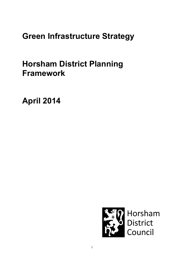# Green Infrastructure Strategy

# Horsham District Planning Framework

April 2014

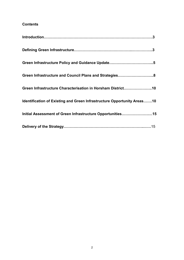## **Contents**

| Green Infrastructure and Council Plans and Strategies8                  |
|-------------------------------------------------------------------------|
| Green Infrastructure Characterisation in Horsham District10             |
| Identification of Existing and Green Infrastructure Opportunity Areas10 |
| Initial Assessment of Green Infrastructure Opportunities15              |
|                                                                         |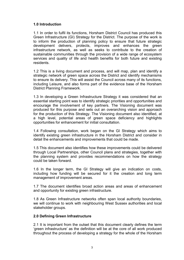## 1.0 Introduction

1.1 In order to fulfil its functions, Horsham District Council has produced this Green Infrastructure (GI) Strategy for the District. The purpose of the work is to inform the production of planning policy to ensure that future strategic development delivers, protects, improves and enhances the green infrastructure network, as well as seeks to contribute to the creation of sustainable communities through the provision of a wide range of ecosystem services and quality of life and health benefits for both future and existing residents.

1.2 This is a living document and process, and will map, plan and identify a strategic network of green space across the District and identify mechanisms to ensure its delivery. This will assist the Council across many of its functions, including Leisure, and also forms part of the evidence base of the Horsham District Planning Framework.

1.3 In developing a Green Infrastructure Strategy it was considered that an essential starting point was to identify strategic priorities and opportunities and encourage the involvement of key partners. The Visioning document was produced for this purpose and sets out an overarching vision and approach for the production of this Strategy. The Visioning document also identified, at a high level, potential areas of green space deficiency and highlights opportunities for enhancement for initial consultation.

1.4 Following consultation, work began on the GI Strategy which aims to identify existing green infrastructure in the Horsham District and consider in detail the enhancements and improvements that could be made.

1.5 This document also identifies how these improvements could be delivered through Local Partnerships, other Council plans and strategies, together with the planning system and provides recommendations on how the strategy could be taken forward.

1.6 In the longer term, the GI Strategy will give an indication on costs, including how funding will be secured for it the creation and long term management of improvement areas.

1.7 The document identifies broad action areas and areas of enhancement and opportunity for existing green infrastructure.

1.8 As Green Infrastructure networks often span local authority boundaries, we will continue to work with neighbouring West Sussex authorities and local stakeholder groups.

## 2.0 Defining Green Infrastructure

2.1 It is important from the outset that this document clearly defines the term 'green infrastructure' as the definition will be at the core of all work produced throughout the process of developing a strategy for the whole of the Horsham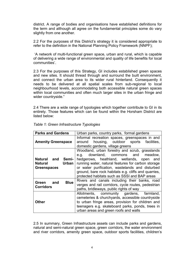district. A range of bodies and organisations have established definitions for the term and although all agree on the fundamental principles some do vary slightly from one another.

2.2 For the purposes of this District's strategy it is considered appropriate to refer to the definition in the National Planning Policy Framework (NNPF);

 'A network of multi-functional green space, urban and rural, which is capable of delivering a wide range of environmental and quality of life benefits for local communities'.

2.3 For the purposes of this Strategy, GI includes established green spaces and new sites. It should thread through and surround the built environment, and connect the urban area to its wider rural hinterland. Consequently it needs to be delivered at all spatial scales from sub-regional to local neighbourhood levels, accommodating both accessible natural green spaces within local communities and often much larger sites in the urban fringe and wider countryside."

2.4 There are a wide range of typologies which together contribute to GI in its entirety. Those features which can be found within the Horsham District are listed below:

| <b>Parks and Gardens</b>                                           | Urban parks, country parks, formal gardens                                                                                                                                                                                                                                                                                                            |  |  |  |
|--------------------------------------------------------------------|-------------------------------------------------------------------------------------------------------------------------------------------------------------------------------------------------------------------------------------------------------------------------------------------------------------------------------------------------------|--|--|--|
| <b>Amenity Greenspace</b>                                          | Informal recreation spaces, greenspaces in and<br>around housing, outdoor sports facilities,<br>domestic gardens, village greens                                                                                                                                                                                                                      |  |  |  |
| <b>Natural and Semi-</b><br>Urban<br>Natural<br><b>Greenspaces</b> | Woodland, urban forestry and scrub, grasslands<br>downland, commons and meadow,<br>e.g.<br>hedgerows, heathland, wetlands, open and<br>running water, natural features for carbon storage<br>or water purification, wastelands and disturbed<br>ground, bare rock habitats e.g. cliffs and quarries,<br>protected habitats such as SSSI and BAP areas |  |  |  |
| <b>Blue</b><br>and<br>Green<br><b>Corridors</b>                    | Rivers and canals including their banks, road<br>verges and rail corridors, cycle routes, pedestrian<br>paths, bridleways, public rights of way                                                                                                                                                                                                       |  |  |  |
| Other                                                              | Allotments, community gardens, farmland,<br>cemeteries & churchyards, accessible countryside<br>to urban fringe areas, provision for children and<br>teenagers e.g. skateboard parks, ponds, trees in<br>urban areas and green roofs and walls                                                                                                        |  |  |  |

| Table 1: Green Infrastructure Typologies |  |
|------------------------------------------|--|
|------------------------------------------|--|

2.5 In summary, Green Infrastructure assets can include parks and gardens, natural and semi-natural green space, green corridors, the water environment and river corridors, amenity green space, outdoor sports facilities, children's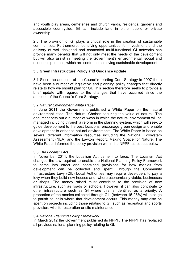and youth play areas, cemeteries and church yards, residential gardens and accessible countryside. GI can include land in either public or private ownership.

2.6 The provision of GI plays a critical role in the creation of sustainable communities. Furthermore, identifying opportunities for investment and the delivery of well designed and connected multi-functional GI networks can provide many benefits that will not only meet the needs of the development but will also assist in meeting the Government's environmental, social and economic priorities, which are central to achieving sustainable development.

## 3.0 Green Infrastructure Policy and Guidance update

3.1 Since the adoption of the Council's existing Core Strategy in 2007 there have been a number of legislative and planning policy changes that directly relate to how we should plan for GI. This section therefore seeks to provide a brief update with regards to the changes that have occurred since the adoption of the Council's Core Strategy.

## 3.2 Natural Environment White Paper

In June 2011 the Government published a White Paper on the natural environment titled 'The Natural Choice: securing the value of nature'. The document sets out a number of ways in which the natural environment will be managed including through a reform in the planning system, which will seek to guide development to the best locations, encourage green design and enable development to enhance natural environments. The White Paper is based on several different information resources including the National Ecosystem Assessment (NEA) and the Lawton Report: Making Space for Nature. The White Paper informed the policy provision within the NPPF, as set out below.

## 3.3 The Localism Act

In November 2011, the Localism Act came into force. The Localism Act changed the law required to enable the National Planning Policy Framework to come into effect and contained provisions for how monies from development can be collected and spent. Through the Community Infrastructure Levy (CIL) Local Authorities may require developers to pay a levy when they build new houses and, where economically viable, businesses or shops. The money raised must contribute to the provision of new infrastructure, such as roads or schools. However, it can also contribute to other infrastructure such as GI where this is identified as a priority. A proportion of the monies collected through CIL (between 15-25%) will also go to parish councils where that development occurs. This money may also be spent on projects including those relating to GI, such as recreation and sports provision, wildlife restoration or site maintenance.

#### 3.4 National Planning Policy Framework

In March 2012 the Government published its NPPF. The NPPF has replaced all previous national planning policy relating to GI.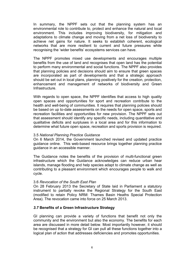In summary, the NPPF sets out that the planning system has an environmental role to contribute to, protect and enhance the natural and local environment. This includes improving biodiversity, for mitigation and adaptations to climate change and moving from a net loss of biodiversity to achieve net gains for nature. It seeks to establish coherent, ecological networks that are more resilient to current and future pressures while recognising the 'wider benefits' ecosystems services can have.

The NPPF promotes mixed use developments and encourages multiple benefits from the use of land and recognises that open land has the potential to perform many environmental and social functions. The NPPF also provides that planning policies and decisions should aim to ensure that green spaces are incorporated as part of developments and that a strategic approach should be set out in local plans, planning positively for the creation, protection, enhancement and management of networks of biodiversity and Green Infrastructure.

With regards to open space, the NPPF identifies that access to high quality open spaces and opportunities for sport and recreation contribute to the health and well-being of communities. It requires that planning policies should be based on up to-date assessments on the needs for open space, sports and recreation facilities and opportunities for new provision. The NPPF sets out that assessment should identify any specific needs, including quantitative and qualitative deficits and surpluses in a local area and for this information to determine what future open space, recreation and sports provision is required.

#### 3.5 National Planning Practice Guidance

On 6 March 2014, the Government launched revised and updated practice guidance online. This web-based resource brings together planning practice guidance in an accessible manner.

The Guidance notes the benefits of the provision of multi-functional green infrastructure which the Guidance acknowledges can reduce urban hear islands, manage flooding and help species adapt to climate change as well as contributing to a pleasant environment which encourages people to walk and cycle.

## 3.6 Revocation of the South East Plan

On 28 February 2013 the Secretary of State laid in Parliament a statutory instrument to partially revoke the Regional Strategy for the South East (modified to retain Policy NRM: Thames Basin Heaths Special Protection Area). The revocation came into force on 25 March 2013.

## 3.7 Benefits of a Green Infrastructure Strategy

GI planning can provide a variety of functions that benefit not only the community and the environment but also the economy. The benefits for each area are discussed in more detail below. Most importantly however, it should be recognised that a strategy for GI can pull all these functions together into a logical plan of action that addresses deficiencies and promotes opportunities.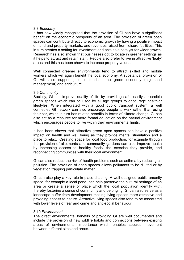#### 3.8 Economy

It has now widely recognised that the provision of GI can have a significant benefit on the economic prosperity of an area. The provision of green open spaces can contribute directly to economic growth by having a positive impact on land and property markets, and revenues raised from leisure facilities. This in turn creates a setting for investment and acts as a catalyst for wider growth. Research has also shown that businesses opt to locate in greener settings as it helps to attract and retain staff. People also prefer to live in attractive 'leafy' areas and this has been shown to increase property values.

Well connected greener environments tend to attract skilled and mobile workers which will again benefit the local economy. A substantial provision of GI will also support jobs in tourism, the green economy (e.g. land management) and agriculture.

#### 3.9 Community

Socially, GI can improve quality of life by providing safe, easily accessible green spaces which can be used by all age groups to encourage healthier lifestyles. When integrated with a good public transport system, a well connected GI network can also encourage people to walk rather than using their car, which in turn has related benefits in terms of climate change. GI can also act as a resource for more formal education on the natural environment which encourages people to live within their environmental limits.

It has been shown that attractive green open spaces can have a positive impact on health and well being as they provide mental stimulation and a place to relax. Creating space for local food production, for example through the provision of allotments and community gardens can also improve health by increasing access to healthy foods, the exercise they provide, and reconnecting communities with their local environment.

GI can also reduce the risk of health problems such as asthma by reducing air pollution. The provision of open spaces allows pollutants to be diluted or by vegetation trapping particulate matter.

GI can also play a key role in place-shaping. A well designed public amenity space, for example a local pond, can help preserve the cultural heritage of an area or create a sense of place which the local population identify with, thereby fostering a sense of community and belonging. GI can also serve as a landscape buffer from development making living spaces more attractive and providing access to nature. Attractive living spaces also tend to be associated with lower levels of fear and crime and anti-social behaviour.

#### 3.10 Environment

The direct environmental benefits of providing GI are well documented and include the provision of new wildlife habits and connections between existing areas of environmental importance which enables species movement between different sites and areas.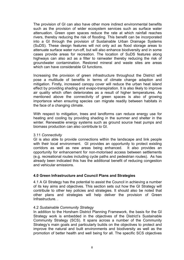The provision of GI can also have other more indirect environmental benefits such as the provision of wider ecosystem services such as surface water attenuation. Green open spaces reduce the rate at which rainfall reaches rivers, thereby reducing the risk of flooding. This benefit can be incorporated into a GI through the provision of Sustainable Urban Drainage Systems (SuDS). These design features will not only act as flood storage areas to attenuate surface water run-off, but will also enhance biodiversity and in some cases provide areas for recreation. The location of SuDS features along highways can also act as a filter to rainwater thereby reducing the risk of groundwater contamination. Restored mineral and waste sites are areas which can have considerable GI functions.

Increasing the provision of green infrastructure throughout the District will pose a multitude of benefits in terms of climate change adaption and mitigation. Firstly, increased canopy cover will reduce the urban heat island effect by providing shading and evapo-transpiration. It is also likely to improve air quality which often deteriorates as a result of higher temperatures. As mentioned above the connectivity of green spaces is also of growing importance when ensuring species can migrate readily between habitats in the face of a changing climate.

With respect to mitigation, trees and landforms can reduce energy use for heating and cooling by providing shading in the summer and shelter in the winter. Renewable energy systems such as ground source heat pumps and biomass production can also contribute to GI.

#### 3.11 Connectivity

GI is also able to provide connections within the landscape and link people with their local environment. GI provides an opportunity to protect existing corridors as well as new areas being enhanced. It also provides an opportunity for enhancement for non-motorised access between settlements (e.g. recreational routes including cycle paths and pedestrian routes). As has already been indicated this has the additional benefit of reducing congestion and vehicular emissions.

## 4.0 Green Infrastructure and Council Plans and Strategies

4.1 A GI Strategy has the potential to assist the Council in achieving a number of its key aims and objectives. This section sets out how the GI Strategy will contribute to other key policies and strategies. It should also be noted that other plans and strategies will help deliver the provision of Green Infrastructure. .

## 4.2 Sustainable Community Strategy

 In addition to the Horsham District Planning Framework, the basis for the GI Strategy work is embedded in the objectives of the District's Sustainable Community Strategy (SCS). It spans across a number of the Community Strategy's main goals and particularly builds on the objectives to protect and improve the natural and built environments and biodiversity as well as the promotion of better health and well being for all. The specific SCS objectives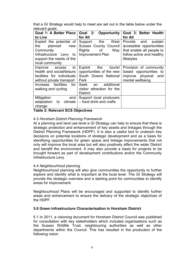that a GI Strategy would help to meet are set out in the table below under the relevant goals:

| Goal 1: A Better Place                                                                                               | Goal 2:<br><b>Opportunity</b>                                                                     | Goal 3: Better Health                                                                                                         |
|----------------------------------------------------------------------------------------------------------------------|---------------------------------------------------------------------------------------------------|-------------------------------------------------------------------------------------------------------------------------------|
| to Live                                                                                                              | for All                                                                                           | for All                                                                                                                       |
| Exploit the potential of<br>planned<br>the<br>new<br>Community<br>Infrastructure Levy to<br>support the needs of the | West<br>Support<br>the<br><b>Sussex County Council</b><br>Rights<br>of<br>Way<br>Improvement Plan | Provide<br>sustain<br>and<br>accessible opportunities<br>that enable all people to<br>follow active and healthy<br>lifestyles |
| local community                                                                                                      |                                                                                                   |                                                                                                                               |
| Improve<br>to<br>access<br>health and social/leisure<br>facilities for individuals<br>without private transport      | the<br>tourist<br>Exploit<br>opportunities of the new<br>South Downs National<br>Park             | Provision of community<br>based opportunities to<br>improve physical<br>and<br>mental wellbeing                               |
| Increase facilities<br>for <sub>1</sub><br>walking and cycling                                                       | Seek<br>additional<br>an<br>visitor attraction for the<br><b>District</b>                         |                                                                                                                               |
| Mitigation<br>and<br>adaptation<br>climate<br>to<br>change                                                           | Support local producers<br>- food drink and crafts                                                |                                                                                                                               |

## Table 2: Relevant SCS Objectives

## 4.3 Horsham District Planning Framework

At a planning and land use level a GI Strategy can help to ensure that there is strategic protection and enhancement of key assets and linkages through the District Planning Framework (HDPF). It is also a useful tool to underpin key decisions on potential locations of strategic development and as a basis for identifying opportunities for green space and linkage improvements that not only will improve the local area but will also positively affect the wider District and benefit the environment. It may also provide a basis for projects to be brought forward as part of development contributions and/or the Community Infrastructure Levy.

#### 4.4 Neighbourhood planning

Neighbourhood planning will also give communities the opportunity to further explore and identify what is important at the local level. The GI Strategy will provide the strategic overview and a starting point for communities to identify areas for improvement.

Neighbourhood Plans will be encouraged and supported to identify further areas and enhancement to ensure the delivery of the strategic objectives of the HDPF.

#### 5.0 Green Infrastructure Characterisation in Horsham District

5.1 In 2011, a visioning document for Horsham District Council was published for consultation with key stakeholders which included organisations such as the Sussex Wildlife Trust, neighbouring authorities as well as other departments within the Council. This has resulted in the production of the following vision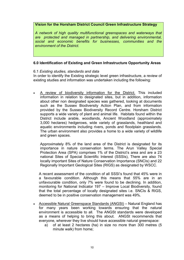## Vision for the Horsham District Council Green Infrastructure Strategy

A network of high quality multifunctional greenspaces and waterways that are protected and managed in partnership, and delivering environmental, social and economic benefits for businesses, communities and the environment of the District.

## 6.0 Identification of Existing and Green Infrastructure Opportunity Areas

## 6.1 Existing studies, standards and data

 In order to identify the Existing strategic level green infrastructure, a review of existing studies and information was undertaken including the following:

• A review of biodiversity information for the District. This included information in relation to designated sites, but in addition, information about other non designated species was gathered, looking at documents such as the Sussex Biodiversity Action Plan, and from information provided by the Sussex Biodiversity Record Centre. Horsham District supports a wide variety of plant and animal life. Habitats found within the District include arable, woodlands, Ancient Woodland (approximately 3,000 hectares) hedgerows, wide variety of grasslands, heathland and aquatic environments including rivers, ponds and floodplain grasslands. The urban environment also provides a home to a wide variety of wildlife and green spaces.

Approximately 8% of the land area of the District is designated for its importance in nature conservation terms. The Arun Valley Special Protection Area (SPA) comprises 1% of the District's area and are a 23 national Sites of Special Scientific Interest (SSSIs), There are also 74 locally important Sites of Nature Conservation Importance (SNCIs) and 22 Regionally Important Geological Sites (RIGS) as designated by WSCC.

A recent assessment of the condition of all SSSI's found that 45% were in a favourable condition. Although this means that 55% are in an unfavourable condition, only 7% were found to be declining. In addition, monitoring for National Indicator 197 – Improve Local Biodiversity, found that the total percentage of locally designated sites i.e. SNCIs & RIGS, deemed to be in positive conservation management was 49%.

- Accessible Natural Greenspace Standards (ANGSt) Natural England has for many years been working towards ensuring that the natural environment is accessible to all. The ANGSt standards were developed as a means of helping to bring this about. ANGSt recommends that everyone, wherever they live should have accessible natural greenspace:
	- a) of at least 2 hectares (ha) in size no more than 300 metres (5 minute walk) from home;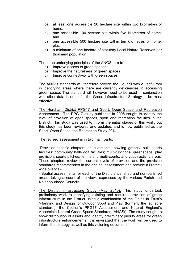- b) at least one accessible 20 hectare site within two kilometres of home;
- c) one accessible 100 hectare site within five kilometres of home; and
- d) one accessible 500 hectare site within ten kilometres of home; plus
- e) a minimum of one hectare of statutory Local Nature Reserves per thousand population.

The three underlying principles of the ANGSt are to

- a) Improve access to green spaces
- b) Improve the naturalness of green spaces
- c) Improve connectivity with green spaces

The ANGSt standards will therefore provide the Council with a useful tool in identifying areas where there are currently deficiencies in accessing green space. The standard will however need to be used in conjunction with other data in order for the Green Infrastructure Strategy to be most effective.

• The Horsham District PPG17 and Sport, Open Space and Recreation Assessment. The PPG17 study published in 2005 sought to identify the level of provision of open spaces, sport and recreation facilities in the District. This study was used to inform the initial stages of this work, but this study has been reviewed and updated, and is now published as the Sport, Open Space and Recreation Study 2014.

The revised assessment is in two main parts:

-Provision-specific chapters on allotments; bowling greens; built sports facilities; community halls golf facilities; multi-functional greenspace; play provision; sports pitches; tennis and multi-courts; and youth activity areas. These chapters review the current levels of provision and the provision standards recommended in the original assessment and provide a Districtwide overview.

- Spatial assessments for each of the Districts' parished and non-parished areas, taking account of the views expressed by the various Parish and Neighbourhood Councils.

The District Infrastructure Study (May 2010). This study undertook preliminary work to identifying existing and required provision of green infrastructure in the District using a combination of the Fields in Trust's 'Planning and Design for Outdoor Sport and Play' (formerly the 'six acre standard'), the Council's PPG17 Assessment and Natural England's Accessible Natural Green Space Standards (ANGSt). The study sought to show distribution of assets and identify preliminary priority areas for green infrastructure enhancements. It is envisaged that the work will be used to inform the strategy as well as this visioning document.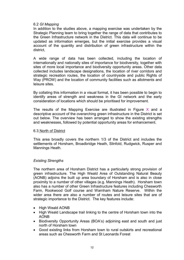### 6.2 GI Mapping

 In addition to the studies above, a mapping exercise was undertaken by the Strategic Planning team to bring together the range of data that contributes to the Green Infrastructure network in the District. This data will continue to be updated as information emerges, but the initial exercise provides a visual account of the quantity and distribution of green infrastructure within the district,

 A wide range of data has been collected, including the location of internationally and nationally sites of importance for biodiversity, together with sites of more local importance and biodiversity opportunity areas. Other data collected includes landscape designations, the location of river corridors and strategic recreation routes, the location of countryside and public Rights of Way (PROW) and the location of community facilities such as allotments and leisure sites.

By collating this information in a visual format, it has been possible to begin to identify areas of strength and weakness in the GI network and the early consideration of locations which should be prioritised for improvement.

The results of the Mapping Exercise are illustrated in Figure  $X$  and a descriptive account of the overarching green infrastructure in the District is set out below. The overview has been arranged to show the existing strengths and weaknesses, followed by potential opportunity areas for enhancement.

#### 6.3 North of District

 This area broadly covers the northern 1/3 of the District and includes the settlements of Horsham, Broadbridge Heath, Slinfold, Rudgwick, Rusper and Mannings Heath.

## Existing Strengths

 The northern area of Horsham District has a particularly strong provision of green infrastructure. The High Weald Area of Outstanding Natural Beauty (AONB) adjoins the built up area boundary of Horsham and is also in close proximity to a number of other villages (e.g. Mannings Heath). Horsham town also has a number of other Green Infrastructure features including Chesworth Farm, Rookwood Golf course and Warnham Nature Reserve. Within the wider area there are also a number of routes and leisure sites that are of strategic importance to the District. The key features include:

- High Weald AONB
- High Weald Landscape trail linking to the centre of Horsham town into the AONB
- Biodiversity Opportunity Areas (BOA's) adjoining east and south and just north of Horsham town
- Good existing links from Horsham town to rural outskirts and recreational areas such as Chesworth Farm and St Leonards Forest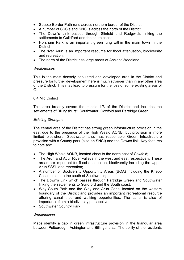- Sussex Border Path runs across northern border of the District
- A number of SSSIs and SNCI's across the north of the District
- The Down's Link passes through Slinfold and Rudgwick, linking the settlements to Guildford and the south coast.
- Horsham Park is an important green lung within the main town in the **District**
- The river Arun is an important resource for flood attenuation, biodiversity and recreation.
- The north of the District has large areas of Ancient Woodland

#### **Weaknesses**

 This is the most densely populated and developed area in the District and pressure for further development here is much stronger than in any other area of the District. This may lead to pressure for the loss of some existing areas of GI.

#### 6.4 Mid District

 This area broadly covers the middle 1/3 of the District and includes the settlements of Billingshurst, Southwater, Cowfold and Partridge Green.

## Existing Strengths

 The central area of the District has strong green infrastructure provision in the east due to the presence of the High Weald AONB, but provision is more limited elsewhere. Southwater also has reasonable Green Infrastructure provision with a County park (also an SNCI) and the Downs link. Key features to note are:

- The High Weald AONB, located close to the north east of Cowfold:
- The Arun and Adur River vallevs in the west and east respectively. These areas are important for flood attenuation, biodiversity including the Upper Arun SSSI, and recreation;
- A number of Biodiversity Opportunity Areas (BOA) including the Knepp Castle estate to the south of Southwater;
- The Down's Link which passes through Partridge Green and Southwater linking the settlements to Guildford and the South coast;
- Wey South Path and the Wey and Arun Canal located on the western boundary of the District and provides an important recreational resource offering canal trips and walking opportunities. The canal is also of importance from a biodiversity perspective.
- Southwater Country Park

#### **Weaknesses**

 Maps identify a gap in green infrastructure provision in the triangular area between Pulborough, Ashington and Billingshurst. The ability of the residents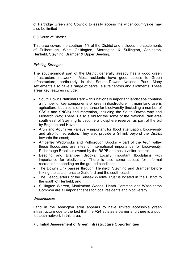of Partridge Green and Cowfold to easily access the wider countryside may also be limited

## 6.5 South of District

 This area covers the southern 1/3 of the District and includes the settlements of Pulborough, West Chiltington, Storrington & Sullington, Ashington, Henfield, Steyning, Bramber & Upper Beeding.

## Existing Strengths

 The southernmost part of the District generally already has a good green Infrastructure network. Most residents have good access to Green Infrastructure, particularly in the South Downs National Park. Many settlements also have a range of parks, leisure centres and allotments. These areas key features include:

- South Downs National Park this nationally important landscape contains a number of key components of green infrastructure. It main land use is agriculture, but also is of importance for biodiversity (including a number of SSSIs and SNCIs) and recreation, including the South Downs way and Monarch Way; There is also a bid for the some of the National Park area south east of Steyning to become a biosphere reserve, as part of the bid by Brighton and Hove.
- Arun and Adur river valleys important for flood attenuation, biodiversity and also for recreation. They also provide a GI link beyond the District towards the coast;
- Amberley Wildbrooks and Pulborough Brooks part of the Arun valley these floodplains are sites of international importance for biodiversity. Pulborough Brooks is owned by the RSPB and has a visitor centre;
- Beeding and Bramber Brooks. Locally important floodplains with importance for biodiversity. There is also some access for informal recreation depending on the ground conditions.
- The Downs Link passes through, Henfield, Steyning and Bramber before linking the settlements to Guildford and the south coast.
- The Headquarters of the Sussex Wildlife Trust is located in the District to the south of Henfield; and
- Sullington Warren, Monkmead Woods, Heath Common and Washington Common are all important sites for local residents and biodiversity.

## **Weaknesses**

 Land in the Ashington area appears to have limited accessible green infrastructure due to the fact that the A24 acts as a barrier and there is a poor footpath network in this area.

## 7.0 Initial Assessment of Green Infrastructure Opportunities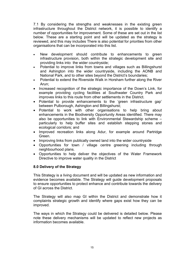7.1 By considering the strengths and weaknesses in the existing green infrastructure throughout the District network, it is possible to identify a number of opportunities for improvement. Some of these are set out in the list below. These are a starting point and will be updated as the strategy is reviewed, and this may includes There is also potential for priorities from other organisations that can be incorporated into this list.

- New development should contribute to enhancements to green infrastructure provision, both within the strategic development site and providing links into the wider countryside;
- Potential to improve links from towns and villages such as Billingshurst and Ashington into the wider countryside, including the AONB and National Park, and to other sites beyond the District's boundaries;
- Potential to extend the Riverside Walk in Horsham further along the River Arun;
- Increased recognition of the strategic importance of the Down's Link, for example providing cycling facilities at Southwater Country Park and improves links to this route from other settlements in the District.
- Potential to provide enhancements to the 'green infrastructure gap' between Pulborough, Ashington and Billingshurst;
- Potential to work with other organisations to help bring about enhancements in the Biodiversity Opportunity Areas identified. There may also be opportunities to link with Environmental Stewardship scheme – particularly to help buffer sites and establish stepping stones and ecological corridors; and
- Improved recreation links along Adur, for example around Partridge Green.
- Improving links from publically owned land into the wider countryside
- Opportunities for town / village centre greening including through neighbourhood plans.
- Opportunities to help deliver the objectives of the Water Framework Directive to improve water quality in the District

## 8.0 Delivery of the Strategy

This Strategy is a living document and will be updated as new information and evidence becomes available. The Strategy will guide development proposals to ensure opportunities to protect enhance and contribute towards the delivery of GI across the District.

The Strategy will also map GI within the District and demonstrate how it complaints strategic growth and identify where gaps exist how they can be improved.

The ways in which the Strategy could be delivered is detailed below. Please note these delivery mechanisms will be updated to reflect new projects as information becomes available.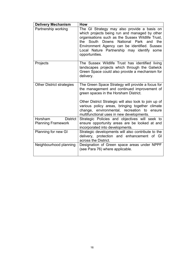| <b>Delivery Mechanism</b>        | <b>How</b>                                                                                                                                                                                                                                                                                                                                           |
|----------------------------------|------------------------------------------------------------------------------------------------------------------------------------------------------------------------------------------------------------------------------------------------------------------------------------------------------------------------------------------------------|
| Partnership working              | The GI Strategy may also provide a basis on<br>which projects being run and managed by other<br>organisations such as the Sussex Wildlife Trust,<br>the South Downs National Park and<br>the<br>Environment Agency can be identified. Sussex<br>Local Nature Partnership may identify some<br>opportunities.                                         |
| Projects                         | The Sussex Wildlife Trust has identified living<br>landscapes projects which through the Gatwick<br>Green Space could also provide a mechanism for<br>delivery.                                                                                                                                                                                      |
| <b>Other District strategies</b> | The Green Space Strategy will provide a focus for<br>the management and continued improvement of<br>green spaces in the Horsham District.<br>Other District Strategic will also look to join up of<br>various policy areas, bringing together climate<br>change, environmental, recreation to<br>ensure<br>multifunctional uses in new developments. |
| <b>District</b><br>Horsham       | Strategic Policies and objectives will seek to                                                                                                                                                                                                                                                                                                       |
| <b>Planning Framework</b>        | ensure opportunity areas are be looked at and<br>incorporated into developments.                                                                                                                                                                                                                                                                     |
| Planning for new GI              | Strategic developments will also contribute to the<br>delivery, protection and enhancement of GI<br>across the District.                                                                                                                                                                                                                             |
| Neighbourhood planning           | Designation of Green space areas under NPPF<br>(see Para 76) where applicable.                                                                                                                                                                                                                                                                       |